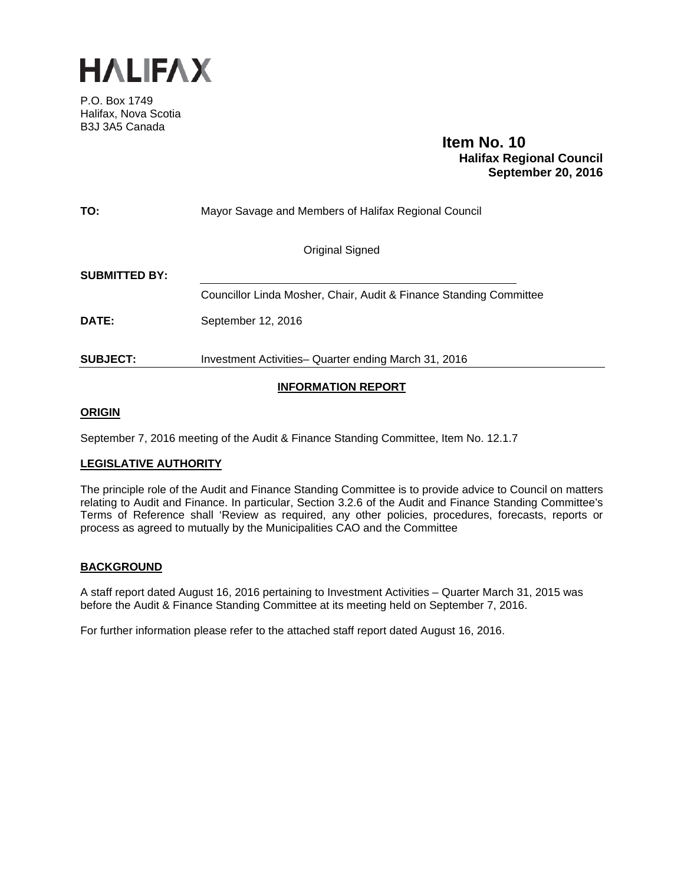

P.O. Box 1749 Halifax, Nova Scotia B3J 3A5 Canada

 **Item No. 10 Halifax Regional Council September 20, 2016**

| TO:                  | Mayor Savage and Members of Halifax Regional Council               |  |  |  |  |  |
|----------------------|--------------------------------------------------------------------|--|--|--|--|--|
|                      | Original Signed                                                    |  |  |  |  |  |
| <b>SUBMITTED BY:</b> |                                                                    |  |  |  |  |  |
|                      | Councillor Linda Mosher, Chair, Audit & Finance Standing Committee |  |  |  |  |  |
| <b>DATE:</b>         | September 12, 2016                                                 |  |  |  |  |  |
| <b>SUBJECT:</b>      | Investment Activities-Quarter ending March 31, 2016                |  |  |  |  |  |
|                      |                                                                    |  |  |  |  |  |

# **INFORMATION REPORT**

## **ORIGIN**

September 7, 2016 meeting of the Audit & Finance Standing Committee, Item No. 12.1.7

## **LEGISLATIVE AUTHORITY**

The principle role of the Audit and Finance Standing Committee is to provide advice to Council on matters relating to Audit and Finance. In particular, Section 3.2.6 of the Audit and Finance Standing Committee's Terms of Reference shall 'Review as required, any other policies, procedures, forecasts, reports or process as agreed to mutually by the Municipalities CAO and the Committee

## **BACKGROUND**

A staff report dated August 16, 2016 pertaining to Investment Activities – Quarter March 31, 2015 was before the Audit & Finance Standing Committee at its meeting held on September 7, 2016.

For further information please refer to the attached staff report dated August 16, 2016.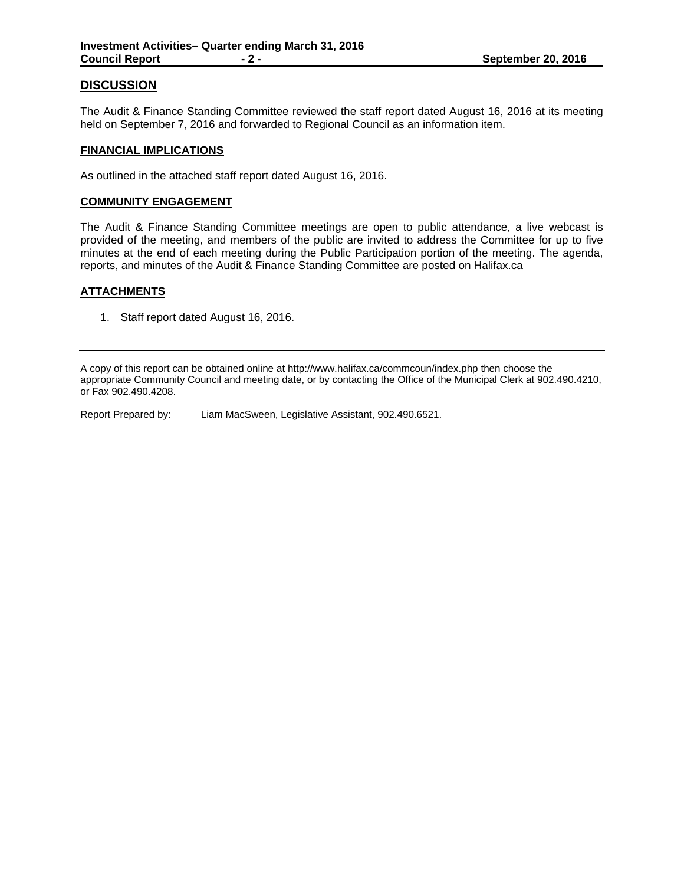## **DISCUSSION**

The Audit & Finance Standing Committee reviewed the staff report dated August 16, 2016 at its meeting held on September 7, 2016 and forwarded to Regional Council as an information item.

### **FINANCIAL IMPLICATIONS**

As outlined in the attached staff report dated August 16, 2016.

### **COMMUNITY ENGAGEMENT**

The Audit & Finance Standing Committee meetings are open to public attendance, a live webcast is provided of the meeting, and members of the public are invited to address the Committee for up to five minutes at the end of each meeting during the Public Participation portion of the meeting. The agenda, reports, and minutes of the Audit & Finance Standing Committee are posted on Halifax.ca

## **ATTACHMENTS**

1. Staff report dated August 16, 2016.

A copy of this report can be obtained online at http://www.halifax.ca/commcoun/index.php then choose the appropriate Community Council and meeting date, or by contacting the Office of the Municipal Clerk at 902.490.4210, or Fax 902.490.4208.

Report Prepared by: Liam MacSween, Legislative Assistant, 902.490.6521.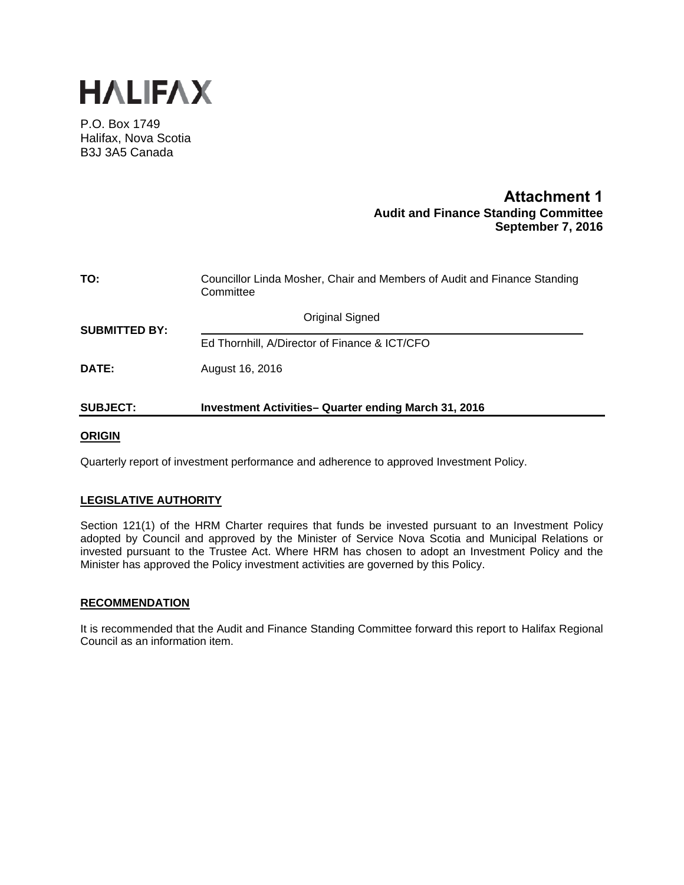

P.O. Box 1749 Halifax, Nova Scotia B3J 3A5 Canada

# **Attachment 1 Audit and Finance Standing Committee September 7, 2016**

| TO:                  | Councillor Linda Mosher, Chair and Members of Audit and Finance Standing<br>Committee |  |  |  |  |
|----------------------|---------------------------------------------------------------------------------------|--|--|--|--|
| <b>SUBMITTED BY:</b> | <b>Original Signed</b>                                                                |  |  |  |  |
|                      | Ed Thornhill, A/Director of Finance & ICT/CFO                                         |  |  |  |  |
| DATE:                | August 16, 2016                                                                       |  |  |  |  |
| <b>SUBJECT:</b>      | <b>Investment Activities- Quarter ending March 31, 2016</b>                           |  |  |  |  |

## **ORIGIN**

Quarterly report of investment performance and adherence to approved Investment Policy.

## **LEGISLATIVE AUTHORITY**

Section 121(1) of the HRM Charter requires that funds be invested pursuant to an Investment Policy adopted by Council and approved by the Minister of Service Nova Scotia and Municipal Relations or invested pursuant to the Trustee Act. Where HRM has chosen to adopt an Investment Policy and the Minister has approved the Policy investment activities are governed by this Policy.

## **RECOMMENDATION**

It is recommended that the Audit and Finance Standing Committee forward this report to Halifax Regional Council as an information item.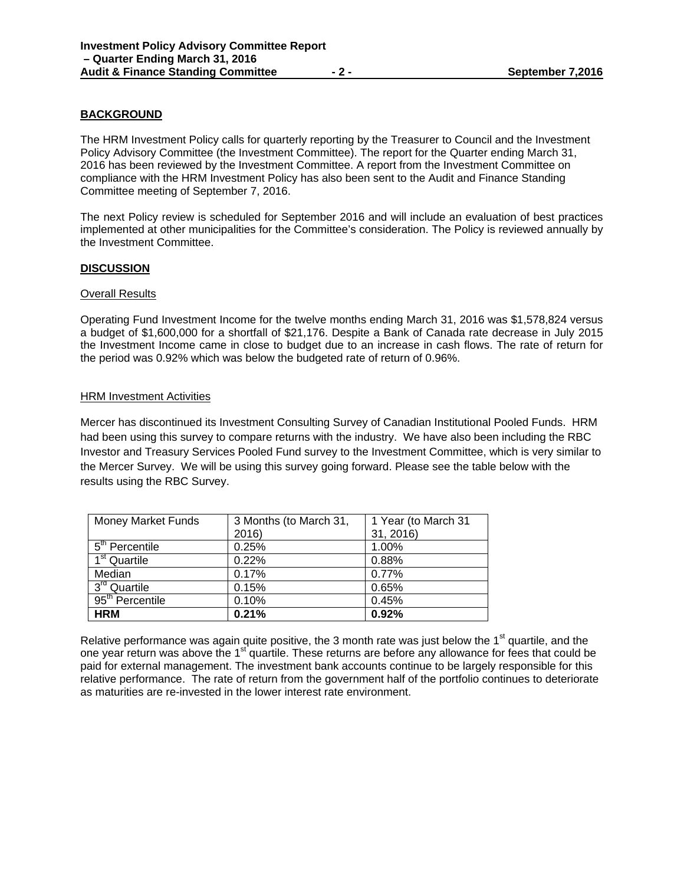## **BACKGROUND**

The HRM Investment Policy calls for quarterly reporting by the Treasurer to Council and the Investment Policy Advisory Committee (the Investment Committee). The report for the Quarter ending March 31, 2016 has been reviewed by the Investment Committee. A report from the Investment Committee on compliance with the HRM Investment Policy has also been sent to the Audit and Finance Standing Committee meeting of September 7, 2016.

The next Policy review is scheduled for September 2016 and will include an evaluation of best practices implemented at other municipalities for the Committee's consideration. The Policy is reviewed annually by the Investment Committee.

### **DISCUSSION**

#### Overall Results

Operating Fund Investment Income for the twelve months ending March 31, 2016 was \$1,578,824 versus a budget of \$1,600,000 for a shortfall of \$21,176. Despite a Bank of Canada rate decrease in July 2015 the Investment Income came in close to budget due to an increase in cash flows. The rate of return for the period was 0.92% which was below the budgeted rate of return of 0.96%.

### HRM Investment Activities

Mercer has discontinued its Investment Consulting Survey of Canadian Institutional Pooled Funds. HRM had been using this survey to compare returns with the industry. We have also been including the RBC Investor and Treasury Services Pooled Fund survey to the Investment Committee, which is very similar to the Mercer Survey. We will be using this survey going forward. Please see the table below with the results using the RBC Survey.

| <b>Money Market Funds</b>             | 3 Months (to March 31, | 1 Year (to March 31 |
|---------------------------------------|------------------------|---------------------|
|                                       | 2016)                  | 31, 2016)           |
| $\overline{5}^{\text{th}}$ Percentile | 0.25%                  | 1.00%               |
| $\overline{1}^{\text{st}}$ Quartile   | 0.22%                  | 0.88%               |
| Median                                | 0.17%                  | 0.77%               |
| $\overline{3}^{rd}$ Quartile          | 0.15%                  | 0.65%               |
| 95 <sup>th</sup> Percentile           | 0.10%                  | 0.45%               |
| <b>HRM</b>                            | 0.21%                  | 0.92%               |

Relative performance was again quite positive, the 3 month rate was just below the 1<sup>st</sup> quartile, and the one year return was above the 1<sup>st</sup> quartile. These returns are before any allowance for fees that could be paid for external management. The investment bank accounts continue to be largely responsible for this relative performance. The rate of return from the government half of the portfolio continues to deteriorate as maturities are re-invested in the lower interest rate environment.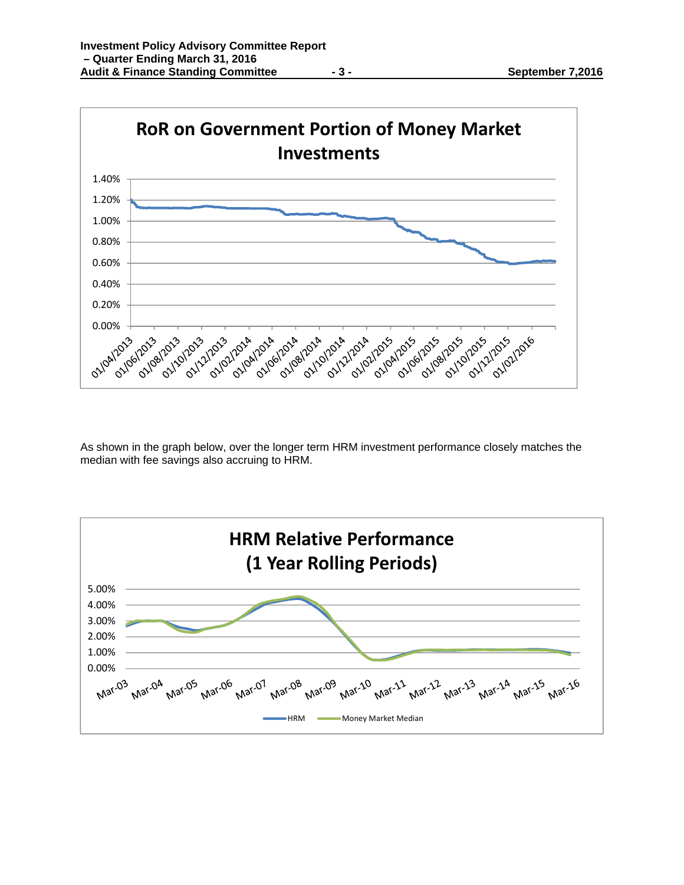

As shown in the graph below, over the longer term HRM investment performance closely matches the median with fee savings also accruing to HRM.

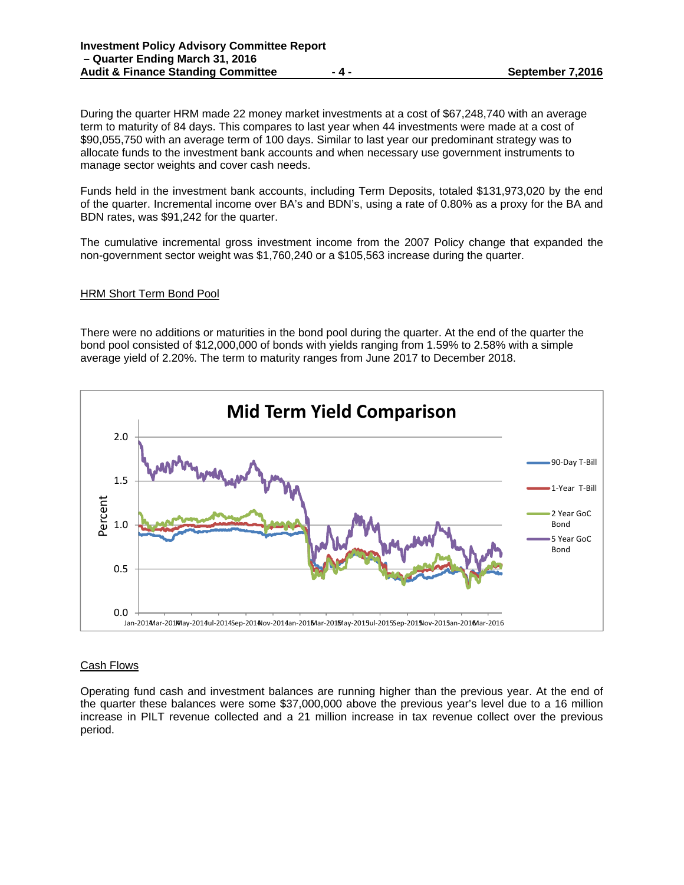During the quarter HRM made 22 money market investments at a cost of \$67,248,740 with an average term to maturity of 84 days. This compares to last year when 44 investments were made at a cost of \$90,055,750 with an average term of 100 days. Similar to last year our predominant strategy was to allocate funds to the investment bank accounts and when necessary use government instruments to manage sector weights and cover cash needs.

Funds held in the investment bank accounts, including Term Deposits, totaled \$131,973,020 by the end of the quarter. Incremental income over BA's and BDN's, using a rate of 0.80% as a proxy for the BA and BDN rates, was \$91,242 for the quarter.

The cumulative incremental gross investment income from the 2007 Policy change that expanded the non-government sector weight was \$1,760,240 or a \$105,563 increase during the quarter.

### HRM Short Term Bond Pool

There were no additions or maturities in the bond pool during the quarter. At the end of the quarter the bond pool consisted of \$12,000,000 of bonds with yields ranging from 1.59% to 2.58% with a simple average yield of 2.20%. The term to maturity ranges from June 2017 to December 2018.



## Cash Flows

Operating fund cash and investment balances are running higher than the previous year. At the end of the quarter these balances were some \$37,000,000 above the previous year's level due to a 16 million increase in PILT revenue collected and a 21 million increase in tax revenue collect over the previous period.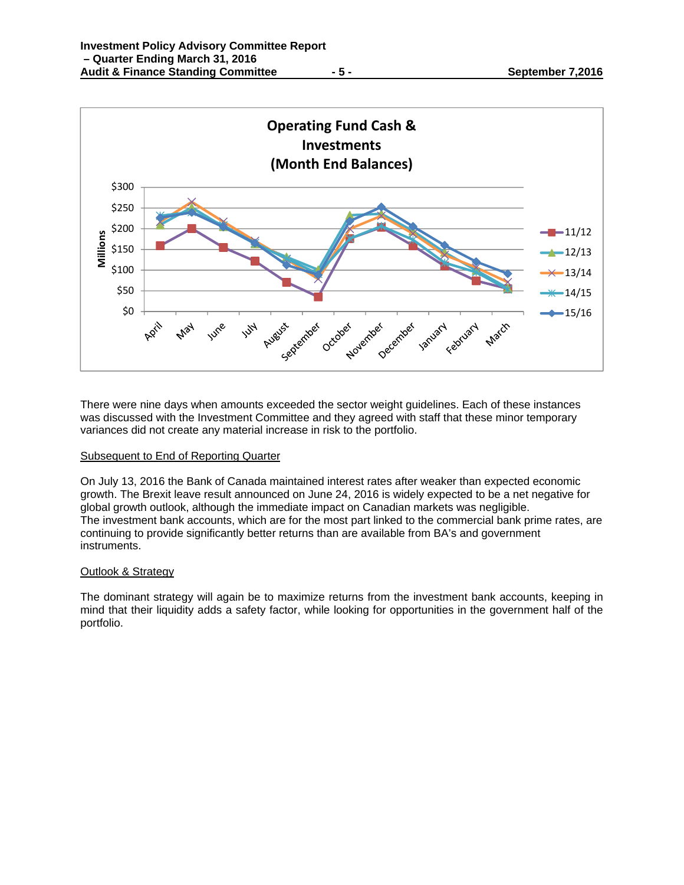



There were nine days when amounts exceeded the sector weight guidelines. Each of these instances was discussed with the Investment Committee and they agreed with staff that these minor temporary variances did not create any material increase in risk to the portfolio.

## Subsequent to End of Reporting Quarter

On July 13, 2016 the Bank of Canada maintained interest rates after weaker than expected economic growth. The Brexit leave result announced on June 24, 2016 is widely expected to be a net negative for global growth outlook, although the immediate impact on Canadian markets was negligible. The investment bank accounts, which are for the most part linked to the commercial bank prime rates, are continuing to provide significantly better returns than are available from BA's and government instruments.

## Outlook & Strategy

The dominant strategy will again be to maximize returns from the investment bank accounts, keeping in mind that their liquidity adds a safety factor, while looking for opportunities in the government half of the portfolio.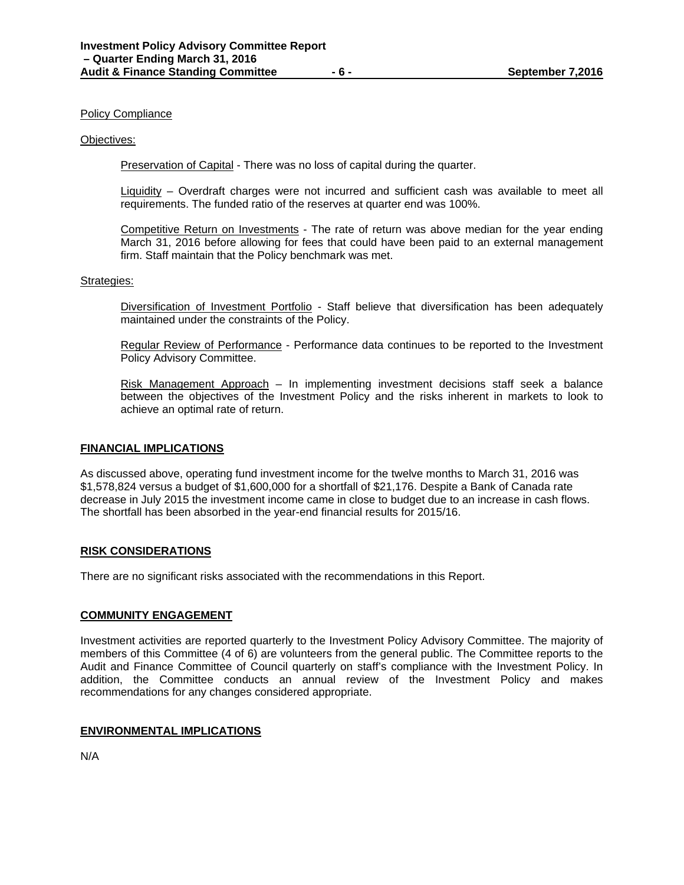#### Policy Compliance

#### Objectives:

Preservation of Capital - There was no loss of capital during the quarter.

Liquidity – Overdraft charges were not incurred and sufficient cash was available to meet all requirements. The funded ratio of the reserves at quarter end was 100%.

Competitive Return on Investments - The rate of return was above median for the year ending March 31, 2016 before allowing for fees that could have been paid to an external management firm. Staff maintain that the Policy benchmark was met.

### Strategies:

Diversification of Investment Portfolio - Staff believe that diversification has been adequately maintained under the constraints of the Policy.

Regular Review of Performance - Performance data continues to be reported to the Investment Policy Advisory Committee.

Risk Management Approach – In implementing investment decisions staff seek a balance between the objectives of the Investment Policy and the risks inherent in markets to look to achieve an optimal rate of return.

#### **FINANCIAL IMPLICATIONS**

As discussed above, operating fund investment income for the twelve months to March 31, 2016 was \$1,578,824 versus a budget of \$1,600,000 for a shortfall of \$21,176. Despite a Bank of Canada rate decrease in July 2015 the investment income came in close to budget due to an increase in cash flows. The shortfall has been absorbed in the year-end financial results for 2015/16.

#### **RISK CONSIDERATIONS**

There are no significant risks associated with the recommendations in this Report.

#### **COMMUNITY ENGAGEMENT**

Investment activities are reported quarterly to the Investment Policy Advisory Committee. The majority of members of this Committee (4 of 6) are volunteers from the general public. The Committee reports to the Audit and Finance Committee of Council quarterly on staff's compliance with the Investment Policy. In addition, the Committee conducts an annual review of the Investment Policy and makes recommendations for any changes considered appropriate.

### **ENVIRONMENTAL IMPLICATIONS**

N/A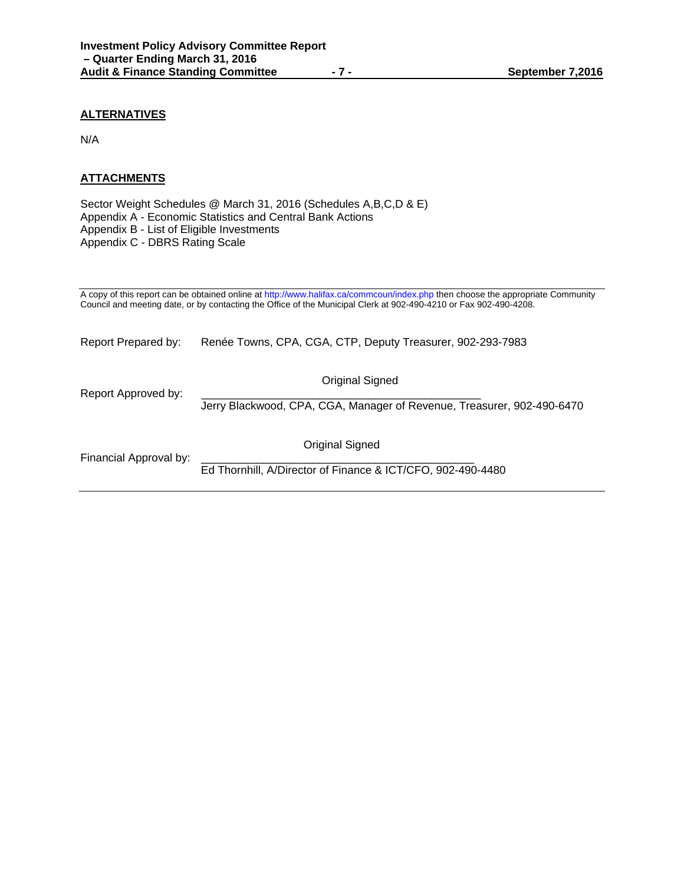## **ALTERNATIVES**

N/A

# **ATTACHMENTS**

Sector Weight Schedules @ March 31, 2016 (Schedules A,B,C,D & E) Appendix A - Economic Statistics and Central Bank Actions Appendix B - List of Eligible Investments Appendix C - DBRS Rating Scale

A copy of this report can be obtained online at http://www.halifax.ca/commcoun/index.php then choose the appropriate Community Council and meeting date, or by contacting the Office of the Municipal Clerk at 902-490-4210 or Fax 902-490-4208.

Report Prepared by: Renée Towns, CPA, CGA, CTP, Deputy Treasurer, 902-293-7983

Report Approved by:

Original Signed

Jerry Blackwood, CPA, CGA, Manager of Revenue, Treasurer, 902-490-6470

Financial Approval by:

Original Signed

Ed Thornhill, A/Director of Finance & ICT/CFO, 902-490-4480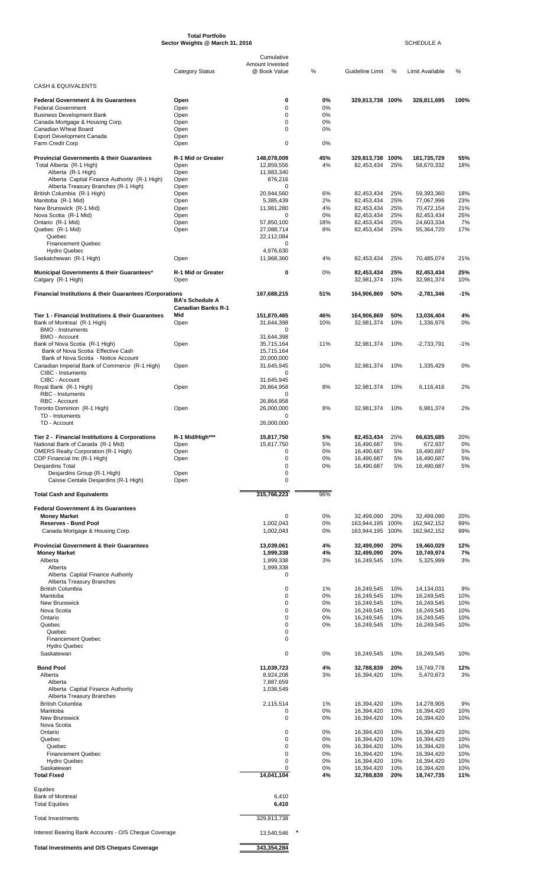|                                                                                      | <b>Category Status</b>    | Cumulative<br>Amount Invested<br>@ Book Value | %          | Guideline Limit                      | %           | <b>Limit Available</b>     | %          |
|--------------------------------------------------------------------------------------|---------------------------|-----------------------------------------------|------------|--------------------------------------|-------------|----------------------------|------------|
| CASH & EQUIVALENTS                                                                   |                           |                                               |            |                                      |             |                            |            |
| <b>Federal Government &amp; its Guarantees</b>                                       | Open                      | 0                                             | 0%         | 329,813,738 100%                     |             | 328,811,695                | 100%       |
| <b>Federal Government</b><br><b>Business Development Bank</b>                        | Open<br>Open              | 0<br>0                                        | 0%<br>0%   |                                      |             |                            |            |
| Canada Mortgage & Housing Corp.                                                      | Open                      | 0                                             | 0%         |                                      |             |                            |            |
| Canadian Wheat Board<br><b>Export Development Canada</b>                             | Open<br>Open              | $\Omega$                                      | 0%         |                                      |             |                            |            |
| Farm Credit Corp                                                                     | Open                      | 0                                             | 0%         |                                      |             |                            |            |
| <b>Provincial Governments &amp; their Guarantees</b><br>Total Alberta (R-1 High)     | R-1 Mid or Greater        | 148,078,009<br>12,859,556                     | 45%<br>4%  | 329,813,738<br>82,453,434            | 100%<br>25% | 181,735,729<br>58,670,332  | 55%<br>18% |
| Alberta (R-1 High)                                                                   | Open<br>Open              | 11,983,340                                    |            |                                      |             |                            |            |
| Alberta Capital Finance Authority (R-1 High)<br>Alberta Treasury Branches (R-1 High) | Open<br>Open              | 876,216<br>0                                  |            |                                      |             |                            |            |
| British Columbia (R-1 High)<br>Manitoba (R-1 Mid)                                    | Open<br>Open              | 20,944,560<br>5,385,439                       | 6%<br>2%   | 82,453,434<br>82,453,434             | 25%<br>25%  | 59,393,360<br>77,067,996   | 18%<br>23% |
| New Brunswick (R-1 Mid)                                                              | Open                      | 11,981,280                                    | 4%         | 82,453,434                           | 25%         | 70,472,154                 | 21%        |
| Nova Scotia (R-1 Mid)<br>Ontario (R-1 Mid)                                           | Open<br>Open              | 0<br>57,850,100                               | 0%<br>18%  | 82,453,434<br>82.453.434             | 25%<br>25%  | 82,453,434<br>24,603,334   | 25%<br>7%  |
| Quebec (R-1 Mid)<br>Quebec                                                           | Open                      | 27,088,714<br>22,112,084                      | 8%         | 82,453,434                           | 25%         | 55,364,720                 | 17%        |
| <b>Financement Quebec</b><br><b>Hydro Quebec</b>                                     |                           | 0<br>4,976,630                                |            |                                      |             |                            |            |
| Saskatchewan (R-1 High)                                                              | Open                      | 11,968,360                                    | 4%         | 82,453,434                           | 25%         | 70,485,074                 | 21%        |
| Municipal Governments & their Guarantees*                                            | R-1 Mid or Greater        | 0                                             | 0%         | 82,453,434                           | 25%         | 82,453,434                 | 25%        |
| Calgary (R-1 High)                                                                   | Open                      |                                               |            | 32,981,374                           | 10%         | 32,981,374                 | 10%        |
| <b>Financial Institutions &amp; their Guarantees / Corporations</b>                  | <b>BA's Schedule A</b>    | 167,688,215                                   | 51%        | 164,906,869                          | 50%         | -2,781,346                 | $-1%$      |
|                                                                                      | <b>Canadian Banks R-1</b> |                                               |            |                                      |             |                            |            |
| Tier 1 - Financial Institutions & their Guarantees<br>Bank of Montreal (R-1 High)    | Mid<br>Open               | 151,870,465<br>31,644,398                     | 46%<br>10% | 164,906,869<br>32,981,374            | 50%<br>10%  | 13,036,404<br>1,336,976    | 4%<br>0%   |
| <b>BMO - Instruments</b>                                                             |                           | 0                                             |            |                                      |             |                            |            |
| <b>BMO - Account</b><br>Bank of Nova Scotia (R-1 High)                               | Open                      | 31,644,398<br>35,715,164                      | 11%        | 32,981,374                           | 10%         | $-2,733,791$               | $-1%$      |
| Bank of Nova Scotia Effective Cash<br>Bank of Nova Scotia - Notice Account           |                           | 15,715,164<br>20,000,000                      |            |                                      |             |                            |            |
| Canadian Imperial Bank of Commerce (R-1 High)<br>CIBC - Instuments                   | Open                      | 31,645,945<br>0                               | 10%        | 32,981,374                           | 10%         | 1,335,429                  | 0%         |
| CIBC - Account                                                                       |                           | 31,645,945                                    |            |                                      |             |                            |            |
| Royal Bank (R-1 High)<br><b>RBC - Instuments</b>                                     | Open                      | 26,864,958<br>0                               | 8%         | 32,981,374                           | 10%         | 6.116.416                  | 2%         |
| RBC - Account<br>Toronto Dominion (R-1 High)                                         | Open                      | 26,864,958<br>26,000,000                      | 8%         | 32,981,374                           | 10%         | 6,981,374                  | 2%         |
| TD - Instuments                                                                      |                           | 0                                             |            |                                      |             |                            |            |
| TD - Account                                                                         |                           | 26,000,000                                    |            |                                      |             |                            |            |
| Tier 2 - Financial Institutions & Corporations<br>National Bank of Canada (R-1 Mid)  | R-1 Mid/High***<br>Open   | 15,817,750<br>15,817,750                      | 5%<br>5%   | 82,453,434<br>16,490,687             | 25%<br>5%   | 66,635,685<br>672,937      | 20%<br>0%  |
| <b>OMERS Realty Corporation (R-1 High)</b><br>CDP Financial Inc (R-1 High)           | Open<br>Open              | 0<br>0                                        | 0%<br>0%   | 16,490,687<br>16,490,687             | 5%<br>5%    | 16,490,687<br>16,490,687   | 5%<br>5%   |
| Desjardins Total                                                                     |                           | 0                                             | 0%         | 16,490,687                           | 5%          | 16,490,687                 | 5%         |
| Desjardins Group (R-1 High)<br>Caisse Centale Desjardins (R-1 High)                  | Open<br>Open              | 0<br>0                                        |            |                                      |             |                            |            |
| <b>Total Cash and Equivalents</b>                                                    |                           | 315,766,223                                   | 96%        |                                      |             |                            |            |
| <b>Federal Government &amp; its Guarantees</b>                                       |                           |                                               |            |                                      |             |                            |            |
| <b>Money Market</b>                                                                  |                           | 0                                             | 0%         | 32,499,090                           | 20%         | 32,499,090                 | 20%        |
| <b>Reserves - Bond Pool</b><br>Canada Mortgage & Housing Corp.                       |                           | 1,002,043<br>1,002,043                        | 0%<br>0%   | 163,944,195 100%<br>163,944,195 100% |             | 162,942,152<br>162,942,152 | 99%<br>99% |
|                                                                                      |                           |                                               |            |                                      |             |                            |            |
| <b>Provincial Government &amp; their Guarantees</b><br><b>Money Market</b>           |                           | 13,039,061<br>1,999,338                       | 4%<br>4%   | 32,499,090<br>32,499,090             | 20%<br>20%  | 19,460,029<br>10,749,974   | 12%<br>7%  |
| Alberta<br>Alberta                                                                   |                           | 1,999,338<br>1,999,338                        | 3%         | 16,249,545                           | 10%         | 5,325,999                  | 3%         |
| Alberta Capital Finance Authority<br>Alberta Treasury Branches                       |                           | 0                                             |            |                                      |             |                            |            |
| <b>British Columbia</b>                                                              |                           | 0                                             | 1%         | 16,249,545                           | 10%         | 14,134,031                 | 9%         |
| Manitoba<br><b>New Brunswick</b>                                                     |                           | 0<br>0                                        | 0%<br>0%   | 16,249,545<br>16,249,545             | 10%<br>10%  | 16,249,545<br>16,249,545   | 10%<br>10% |
| Nova Scotia<br>Ontario                                                               |                           | 0<br>0                                        | 0%<br>0%   | 16,249,545<br>16,249,545             | 10%<br>10%  | 16,249,545<br>16,249,545   | 10%<br>10% |
| Quebec<br>Quebec                                                                     |                           | 0<br>0                                        | 0%         | 16,249,545                           | 10%         | 16,249,545                 | 10%        |
| <b>Financement Quebec</b>                                                            |                           | 0                                             |            |                                      |             |                            |            |
| <b>Hydro Quebec</b><br>Saskatewan                                                    |                           | 0                                             | 0%         | 16,249,545                           | 10%         | 16,249,545                 | 10%        |
| <b>Bond Pool</b>                                                                     |                           | 11,039,723                                    | 4%         | 32,788,839                           | 20%         | 19,749,778                 | 12%        |
| Alberta<br>Alberta                                                                   |                           | 8,924,208<br>7,887,659                        | 3%         | 16,394,420                           | 10%         | 5,470,873                  | 3%         |
| Alberta Capital Finance Authority                                                    |                           | 1,036,549                                     |            |                                      |             |                            |            |
| Alberta Treasury Branches<br><b>British Columbia</b>                                 |                           | 2,115,514                                     | 1%         | 16,394,420                           | 10%         | 14,278,905                 | 9%         |
| Manitoba<br><b>New Brunswick</b>                                                     |                           | 0<br>0                                        | 0%<br>0%   | 16,394,420<br>16,394,420             | 10%<br>10%  | 16,394,420<br>16,394,420   | 10%<br>10% |
| Nova Scotia                                                                          |                           |                                               |            |                                      |             |                            |            |
| Ontario<br>Quebec                                                                    |                           | 0<br>0                                        | 0%<br>0%   | 16,394,420<br>16,394,420             | 10%<br>10%  | 16,394,420<br>16,394,420   | 10%<br>10% |
| Quebec<br><b>Financement Quebec</b>                                                  |                           | 0<br>0                                        | 0%<br>0%   | 16,394,420<br>16,394,420             | 10%<br>10%  | 16,394,420<br>16,394,420   | 10%<br>10% |
| <b>Hydro Quebec</b><br>Saskatewan                                                    |                           | 0<br>0                                        | 0%<br>0%   | 16,394,420<br>16,394,420             | 10%<br>10%  | 16,394,420<br>16,394,420   | 10%        |
| <b>Total Fixed</b>                                                                   |                           | 14,041,104                                    | 4%         | 32,788,839                           | 20%         | 18,747,735                 | 10%<br>11% |
| Equities                                                                             |                           |                                               |            |                                      |             |                            |            |
| Bank of Montreal<br><b>Total Equities</b>                                            |                           | 6,410<br>6,410                                |            |                                      |             |                            |            |
|                                                                                      |                           |                                               |            |                                      |             |                            |            |
| <b>Total Investments</b>                                                             |                           | 329,813,738                                   |            |                                      |             |                            |            |
| Interest Bearing Bank Accounts - O/S Cheque Coverage                                 |                           | 13,540,546                                    |            |                                      |             |                            |            |
| Total Investments and O/S Cheques Coverage                                           |                           | 343,354,284                                   |            |                                      |             |                            |            |

**Total Portfolio**

**Sector Weights @ March 31, 2016** SCHEDULE A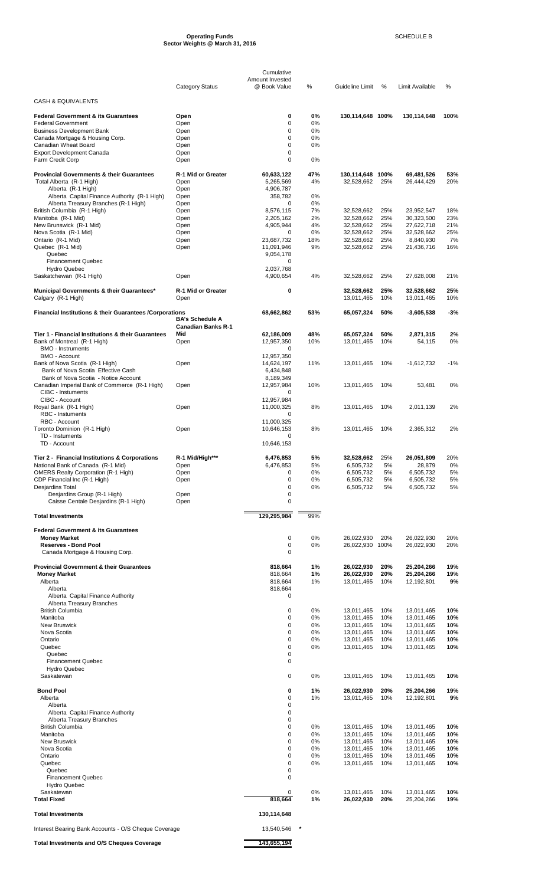#### **Operating Funds** SCHEDULE B **Sector Weights @ March 31, 2016**

|                                                                            |                                                     | Cumulative                      |          |                          |            |                          |            |
|----------------------------------------------------------------------------|-----------------------------------------------------|---------------------------------|----------|--------------------------|------------|--------------------------|------------|
|                                                                            | <b>Category Status</b>                              | Amount Invested<br>@ Book Value | %        | Guideline Limit          | %          | Limit Available          | %          |
| <b>CASH &amp; EQUIVALENTS</b>                                              |                                                     |                                 |          |                          |            |                          |            |
| <b>Federal Government &amp; its Guarantees</b>                             | Open                                                | 0                               | 0%       | 130,114,648 100%         |            | 130,114,648              | 100%       |
| <b>Federal Government</b>                                                  | Open                                                | 0                               | $0\%$    |                          |            |                          |            |
| <b>Business Development Bank</b><br>Canada Mortgage & Housing Corp.        | Open<br>Open                                        | 0<br>$\mathbf 0$                | 0%<br>0% |                          |            |                          |            |
| Canadian Wheat Board                                                       | Open                                                | $\mathbf 0$                     | 0%       |                          |            |                          |            |
| <b>Export Development Canada</b>                                           | Open                                                | 0                               |          |                          |            |                          |            |
| Farm Credit Corp                                                           | Open                                                | $\mathbf 0$                     | 0%       |                          |            |                          |            |
| <b>Provincial Governments &amp; their Guarantees</b>                       | R-1 Mid or Greater                                  | 60,633,122                      | 47%      | 130,114,648 100%         |            | 69,481,526               | 53%        |
| Total Alberta (R-1 High)                                                   | Open                                                | 5,265,569                       | 4%       | 32,528,662               | 25%        | 26,444,429               | 20%        |
| Alberta (R-1 High)<br>Alberta Capital Finance Authority (R-1 High)         | Open<br>Open                                        | 4,906,787<br>358,782            | 0%       |                          |            |                          |            |
| Alberta Treasury Branches (R-1 High)                                       | Open                                                | 0                               | 0%       |                          |            |                          |            |
| British Columbia (R-1 High)                                                | Open                                                | 8,576,115                       | 7%       | 32,528,662               | 25%        | 23,952,547               | 18%        |
| Manitoba (R-1 Mid)<br>New Brunswick (R-1 Mid)                              | Open<br>Open                                        | 2,205,162<br>4,905,944          | 2%<br>4% | 32,528,662<br>32,528,662 | 25%<br>25% | 30,323,500<br>27,622,718 | 23%<br>21% |
| Nova Scotia (R-1 Mid)                                                      | Open                                                | 0                               | 0%       | 32,528,662               | 25%        | 32,528,662               | 25%        |
| Ontario (R-1 Mid)                                                          | Open                                                | 23,687,732                      | 18%      | 32,528,662               | 25%        | 8,840,930                | 7%         |
| Quebec (R-1 Mid)<br>Quebec                                                 | Open                                                | 11,091,946<br>9,054,178         | 9%       | 32,528,662               | 25%        | 21,436,716               | 16%        |
| <b>Financement Quebec</b>                                                  |                                                     | 0                               |          |                          |            |                          |            |
| <b>Hydro Quebec</b>                                                        | Open                                                | 2,037,768<br>4,900,654          | 4%       | 32,528,662               | 25%        | 27,628,008               | 21%        |
| Saskatchewan (R-1 High)                                                    |                                                     |                                 |          |                          |            |                          |            |
| Municipal Governments & their Guarantees*                                  | R-1 Mid or Greater                                  | 0                               |          | 32,528,662               | 25%        | 32,528,662               | 25%        |
| Calgary (R-1 High)                                                         | Open                                                |                                 |          | 13,011,465               | 10%        | 13,011,465               | 10%        |
| Financial Institutions & their Guarantees / Corporations                   |                                                     | 68,662,862                      | 53%      | 65,057,324               | 50%        | $-3,605,538$             | -3%        |
|                                                                            | <b>BA's Schedule A</b><br><b>Canadian Banks R-1</b> |                                 |          |                          |            |                          |            |
| Tier 1 - Financial Institutions & their Guarantees                         | Mid                                                 | 62,186,009                      | 48%      | 65,057,324               | 50%        | 2,871,315                | 2%         |
| Bank of Montreal (R-1 High)                                                | Open                                                | 12,957,350                      | 10%      | 13,011,465               | 10%        | 54,115                   | 0%         |
| <b>BMO - Instruments</b>                                                   |                                                     | 0                               |          |                          |            |                          |            |
| <b>BMO - Account</b><br>Bank of Nova Scotia (R-1 High)                     | Open                                                | 12,957,350<br>14,624,197        | 11%      | 13,011,465               | 10%        | $-1,612,732$             | $-1%$      |
| Bank of Nova Scotia Effective Cash                                         |                                                     | 6,434,848                       |          |                          |            |                          |            |
| Bank of Nova Scotia - Notice Account                                       |                                                     | 8,189,349                       |          |                          |            |                          |            |
| Canadian Imperial Bank of Commerce (R-1 High)<br><b>CIBC - Instuments</b>  | Open                                                | 12,957,984<br>0                 | 10%      | 13,011,465               | 10%        | 53,481                   | 0%         |
| CIBC - Account                                                             |                                                     | 12,957,984                      |          |                          |            |                          |            |
| Royal Bank (R-1 High)                                                      | Open                                                | 11,000,325                      | 8%       | 13,011,465               | 10%        | 2,011,139                | 2%         |
| <b>RBC</b> - Instuments<br>RBC - Account                                   |                                                     | 0<br>11,000,325                 |          |                          |            |                          |            |
| Toronto Dominion (R-1 High)                                                | Open                                                | 10,646,153                      | 8%       | 13,011,465               | 10%        | 2,365,312                | 2%         |
| TD - Instuments                                                            |                                                     | 0                               |          |                          |            |                          |            |
| TD - Account                                                               |                                                     | 10,646,153                      |          |                          |            |                          |            |
| Tier 2 - Financial Institutions & Corporations                             | R-1 Mid/High***                                     | 6,476,853                       | 5%       | 32,528,662               | 25%        | 26,051,809               | 20%        |
| National Bank of Canada (R-1 Mid)                                          | Open                                                | 6,476,853                       | 5%       | 6,505,732                | 5%         | 28,879                   | 0%         |
| <b>OMERS Realty Corporation (R-1 High)</b><br>CDP Financial Inc (R-1 High) | Open                                                | 0<br>0                          | 0%<br>0% | 6,505,732                | 5%<br>5%   | 6,505,732                | 5%         |
| <b>Desjardins Total</b>                                                    | Open                                                | 0                               | 0%       | 6,505,732<br>6,505,732   | 5%         | 6,505,732<br>6,505,732   | 5%<br>5%   |
| Desjardins Group (R-1 High)                                                | Open                                                | $\mathbf 0$                     |          |                          |            |                          |            |
| Caisse Centale Desjardins (R-1 High)                                       | Open                                                | 0                               |          |                          |            |                          |            |
| <b>Total Investments</b>                                                   |                                                     | 129,295,984                     | 99%      |                          |            |                          |            |
| <b>Federal Government &amp; its Guarantees</b>                             |                                                     |                                 |          |                          |            |                          |            |
| <b>Money Market</b>                                                        |                                                     | 0                               | 0%       | 26,022,930               | 20%        | 26,022,930               | 20%        |
| <b>Reserves - Bond Pool</b><br>Canada Mortgage & Housing Corp.             |                                                     | 0<br>$\mathbf 0$                | 0%       | 26,022,930 100%          |            | 26,022,930               | 20%        |
|                                                                            |                                                     |                                 |          |                          |            |                          |            |
| <b>Provincial Government &amp; their Guarantees</b>                        |                                                     | 818,664                         | 1%       | 26,022,930               | 20%        | 25,204,266               | 19%        |
| <b>Money Market</b><br>Alberta                                             |                                                     | 818,664<br>818,664              | 1%<br>1% | 26,022,930<br>13,011,465 | 20%<br>10% | 25,204,266<br>12,192,801 | 19%<br>9%  |
| Alberta                                                                    |                                                     | 818,664                         |          |                          |            |                          |            |
| Alberta Capital Finance Authority                                          |                                                     | 0                               |          |                          |            |                          |            |
| Alberta Treasury Branches<br><b>British Columbia</b>                       |                                                     | 0                               | 0%       | 13,011,465               | 10%        | 13,011,465               | 10%        |
| Manitoba                                                                   |                                                     | 0                               | 0%       | 13,011,465               | 10%        | 13,011,465               | 10%        |
| <b>New Bruswick</b>                                                        |                                                     | 0                               | 0%       | 13,011,465               | 10%        | 13,011,465               | 10%        |
| Nova Scotia<br>Ontario                                                     |                                                     | 0<br>$\mathbf 0$                | 0%<br>0% | 13,011,465<br>13,011,465 | 10%<br>10% | 13,011,465<br>13,011,465 | 10%<br>10% |
| Quebec                                                                     |                                                     | 0                               | 0%       | 13,011,465               | 10%        | 13,011,465               | 10%        |
| Quebec                                                                     |                                                     | 0                               |          |                          |            |                          |            |
| <b>Financement Quebec</b><br><b>Hydro Quebec</b>                           |                                                     | 0                               |          |                          |            |                          |            |
| Saskatewan                                                                 |                                                     | 0                               | 0%       | 13,011,465               | 10%        | 13,011,465               | 10%        |
|                                                                            |                                                     |                                 |          |                          |            |                          |            |
| <b>Bond Pool</b><br>Alberta                                                |                                                     | 0<br>0                          | 1%<br>1% | 26,022,930<br>13,011,465 | 20%<br>10% | 25,204,266<br>12,192,801 | 19%<br>9%  |
| Alberta                                                                    |                                                     | $\mathbf 0$                     |          |                          |            |                          |            |
| Alberta Capital Finance Authority                                          |                                                     | 0                               |          |                          |            |                          |            |
| Alberta Treasury Branches<br><b>British Columbia</b>                       |                                                     | 0<br>0                          | 0%       | 13,011,465               | 10%        | 13,011,465               | 10%        |
| Manitoba                                                                   |                                                     | $\mathbf 0$                     | 0%       | 13,011,465               | 10%        | 13,011,465               | 10%        |
| <b>New Bruswick</b>                                                        |                                                     | $\mathbf 0$                     | 0%       | 13,011,465               | 10%        | 13,011,465               | 10%        |
| Nova Scotia<br>Ontario                                                     |                                                     | 0<br>0                          | 0%<br>0% | 13,011,465<br>13,011,465 | 10%<br>10% | 13,011,465<br>13,011,465 | 10%<br>10% |
| Quebec                                                                     |                                                     | $\mathbf 0$                     | 0%       | 13,011,465               | 10%        | 13,011,465               | 10%        |
| Quebec                                                                     |                                                     | 0                               |          |                          |            |                          |            |
| <b>Financement Quebec</b><br>Hydro Quebec                                  |                                                     | $\mathbf 0$                     |          |                          |            |                          |            |
| Saskatewan                                                                 |                                                     | 0                               | 0%       | 13,011,465               | 10%        | 13,011,465               | 10%        |
| <b>Total Fixed</b>                                                         |                                                     | 818.664                         | 1%       | 26,022,930               | 20%        | 25,204,266               | 19%        |
| <b>Total Investments</b>                                                   |                                                     | 130,114,648                     |          |                          |            |                          |            |
| Interest Bearing Bank Accounts - O/S Cheque Coverage                       |                                                     | 13,540,546                      |          |                          |            |                          |            |
| <b>Total Investments and O/S Cheques Coverage</b>                          |                                                     | 143,655,194                     |          |                          |            |                          |            |
|                                                                            |                                                     |                                 |          |                          |            |                          |            |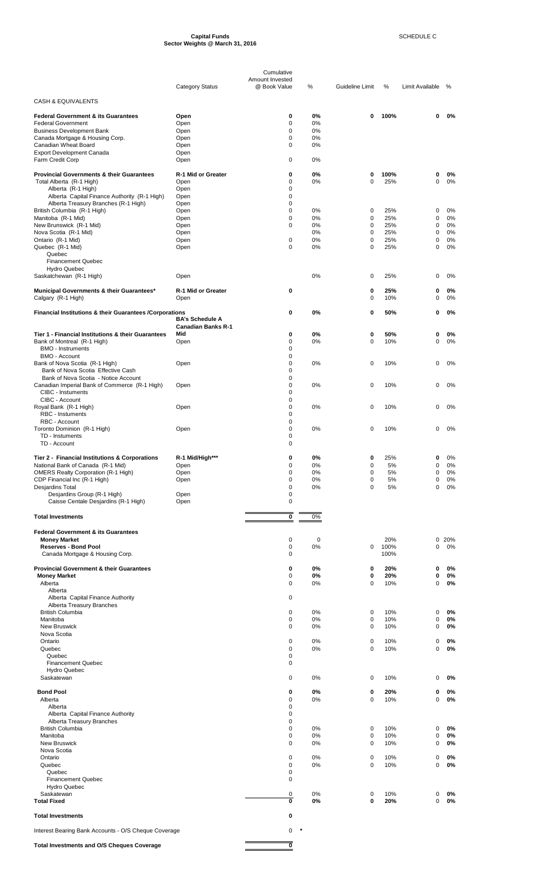#### **Capital Funds** SCHEDULE C **Sector Weights @ March 31, 2016**

|                                                                                      |                           | Cumulative                      |          |                            |            |                 |          |
|--------------------------------------------------------------------------------------|---------------------------|---------------------------------|----------|----------------------------|------------|-----------------|----------|
|                                                                                      | <b>Category Status</b>    | Amount Invested<br>@ Book Value | %        | Guideline Limit            | %          | Limit Available | %        |
| <b>CASH &amp; EQUIVALENTS</b>                                                        |                           |                                 |          |                            |            |                 |          |
|                                                                                      |                           |                                 |          |                            |            |                 |          |
| <b>Federal Government &amp; its Guarantees</b><br><b>Federal Government</b>          | Open<br>Open              | 0<br>0                          | 0%<br>0% | 0                          | 100%       | 0               | 0%       |
| <b>Business Development Bank</b>                                                     | Open                      | $\mathbf 0$                     | 0%       |                            |            |                 |          |
| Canada Mortgage & Housing Corp.<br>Canadian Wheat Board                              | Open<br>Open              | 0<br>$\mathbf 0$                | 0%<br>0% |                            |            |                 |          |
| <b>Export Development Canada</b>                                                     | Open                      |                                 |          |                            |            |                 |          |
| Farm Credit Corp                                                                     | Open                      | 0                               | 0%       |                            |            |                 |          |
| <b>Provincial Governments &amp; their Guarantees</b>                                 | R-1 Mid or Greater        | $\mathbf 0$                     | 0%       | 0                          | 100%       | 0               | 0%       |
| Total Alberta (R-1 High)                                                             | Open                      | 0                               | 0%       | $\mathbf 0$                | 25%        | 0               | 0%       |
| Alberta (R-1 High)                                                                   | Open<br>Open              | 0<br>0                          |          |                            |            |                 |          |
| Alberta Capital Finance Authority (R-1 High)<br>Alberta Treasury Branches (R-1 High) | Open                      | 0                               |          |                            |            |                 |          |
| British Columbia (R-1 High)                                                          | Open                      | 0                               | 0%       | 0                          | 25%        | 0               | 0%       |
| Manitoba (R-1 Mid)                                                                   | Open                      | 0                               | 0%       | $\mathbf 0$                | 25%        | 0               | 0%       |
| New Brunswick (R-1 Mid)<br>Nova Scotia (R-1 Mid)                                     | Open<br>Open              | 0                               | 0%<br>0% | $\mathbf 0$<br>$\mathbf 0$ | 25%<br>25% | 0<br>0          | 0%<br>0% |
| Ontario (R-1 Mid)                                                                    | Open                      | $\mathbf 0$                     | 0%       | $\pmb{0}$                  | 25%        | 0               | 0%       |
| Quebec (R-1 Mid)                                                                     | Open                      | $\Omega$                        | 0%       | $\mathbf 0$                | 25%        | 0               | 0%       |
| Quebec<br><b>Financement Quebec</b>                                                  |                           |                                 |          |                            |            |                 |          |
| <b>Hydro Quebec</b>                                                                  |                           |                                 |          |                            |            |                 |          |
| Saskatchewan (R-1 High)                                                              | Open                      |                                 | 0%       | 0                          | 25%        | 0               | 0%       |
| Municipal Governments & their Guarantees*                                            | R-1 Mid or Greater        | $\mathbf 0$                     |          | 0                          | 25%        | 0               | 0%       |
| Calgary (R-1 High)                                                                   | Open                      |                                 |          | $\mathbf 0$                | 10%        | 0               | 0%       |
|                                                                                      |                           |                                 |          |                            |            |                 |          |
| Financial Institutions & their Guarantees /Corporations                              | <b>BA's Schedule A</b>    | $\mathbf 0$                     | 0%       | $\bf{0}$                   | 50%        | 0               | 0%       |
|                                                                                      | <b>Canadian Banks R-1</b> |                                 |          |                            |            |                 |          |
| Tier 1 - Financial Institutions & their Guarantees                                   | Mid                       | 0                               | 0%       | 0                          | 50%        | 0               | 0%       |
| Bank of Montreal (R-1 High)<br><b>BMO - Instruments</b>                              | Open                      | 0<br>0                          | 0%       | $\mathbf 0$                | 10%        | 0               | 0%       |
| <b>BMO - Account</b>                                                                 |                           | 0                               |          |                            |            |                 |          |
| Bank of Nova Scotia (R-1 High)                                                       | Open                      | 0                               | 0%       | $\mathbf 0$                | 10%        | 0               | 0%       |
| Bank of Nova Scotia Effective Cash<br>Bank of Nova Scotia - Notice Account           |                           | 0<br>0                          |          |                            |            |                 |          |
| Canadian Imperial Bank of Commerce (R-1 High)                                        | Open                      | 0                               | 0%       | $\mathbf 0$                | 10%        | 0               | 0%       |
| <b>CIBC - Instuments</b>                                                             |                           | 0                               |          |                            |            |                 |          |
| CIBC - Account<br>Royal Bank (R-1 High)                                              | Open                      | 0<br>0                          | 0%       | 0                          | 10%        | 0               | 0%       |
| <b>RBC</b> - Instuments                                                              |                           | 0                               |          |                            |            |                 |          |
| RBC - Account                                                                        |                           | 0                               |          |                            |            |                 |          |
| Toronto Dominion (R-1 High)<br>TD - Instuments                                       | Open                      | 0<br>0                          | 0%       | 0                          | 10%        | 0               | 0%       |
| TD - Account                                                                         |                           | 0                               |          |                            |            |                 |          |
|                                                                                      |                           |                                 |          |                            |            |                 |          |
| Tier 2 - Financial Institutions & Corporations<br>National Bank of Canada (R-1 Mid)  | R-1 Mid/High***<br>Open   | 0<br>0                          | 0%<br>0% | 0<br>$\mathbf 0$           | 25%<br>5%  | 0<br>0          | 0%<br>0% |
| <b>OMERS Realty Corporation (R-1 High)</b>                                           | Open                      | 0                               | 0%       | $\mathbf 0$                | 5%         | 0               | 0%       |
| CDP Financial Inc (R-1 High)                                                         | Open                      | 0                               | 0%       | $\mathbf 0$                | 5%         | 0               | 0%       |
| Desjardins Total                                                                     |                           | 0<br>0                          | 0%       | $\mathbf 0$                | 5%         | $\mathbf 0$     | 0%       |
| Desjardins Group (R-1 High)<br>Caisse Centale Desjardins (R-1 High)                  | Open<br>Open              | 0                               |          |                            |            |                 |          |
|                                                                                      |                           |                                 |          |                            |            |                 |          |
| <b>Total Investments</b>                                                             |                           | $\overline{\mathbf{0}}$         | 0%       |                            |            |                 |          |
| <b>Federal Government &amp; its Guarantees</b>                                       |                           |                                 |          |                            |            |                 |          |
| <b>Money Market</b>                                                                  |                           | 0                               | 0        |                            | 20%        | 0               | 20%      |
| <b>Reserves - Bond Pool</b>                                                          |                           | 0                               | 0%       | $\pmb{0}$                  | 100%       | 0               | 0%       |
| Canada Mortgage & Housing Corp.                                                      |                           | 0                               |          |                            | 100%       |                 |          |
| <b>Provincial Government &amp; their Guarantees</b>                                  |                           | 0                               | 0%       | 0                          | 20%        | 0               | 0%       |
| <b>Money Market</b>                                                                  |                           | 0                               | 0%       | 0                          | 20%        | 0               | 0%       |
| Alberta<br>Alberta                                                                   |                           | 0                               | 0%       | $\mathbf 0$                | 10%        | 0               | 0%       |
| Alberta Capital Finance Authority                                                    |                           | 0                               |          |                            |            |                 |          |
| Alberta Treasury Branches                                                            |                           |                                 |          |                            |            |                 |          |
| <b>British Columbia</b><br>Manitoba                                                  |                           | 0<br>0                          | 0%<br>0% | 0<br>$\mathbf 0$           | 10%<br>10% | 0<br>0          | 0%<br>0% |
| <b>New Bruswick</b>                                                                  |                           | 0                               | 0%       | $\mathbf 0$                | 10%        | 0               | 0%       |
| Nova Scotia                                                                          |                           |                                 |          |                            |            |                 |          |
| Ontario<br>Quebec                                                                    |                           | 0<br>0                          | 0%<br>0% | $\mathbf 0$<br>$\mathbf 0$ | 10%<br>10% | 0<br>0          | 0%<br>0% |
| Quebec                                                                               |                           | 0                               |          |                            |            |                 |          |
| <b>Financement Quebec</b>                                                            |                           | 0                               |          |                            |            |                 |          |
| <b>Hydro Quebec</b><br>Saskatewan                                                    |                           | 0                               | 0%       | 0                          | 10%        | 0               | 0%       |
|                                                                                      |                           |                                 |          |                            |            |                 |          |
| <b>Bond Pool</b>                                                                     |                           | 0                               | 0%       | 0                          | 20%        | 0               | 0%       |
| Alberta<br>Alberta                                                                   |                           | 0<br>0                          | 0%       | $\mathbf 0$                | 10%        | 0               | 0%       |
| Alberta Capital Finance Authority                                                    |                           | 0                               |          |                            |            |                 |          |
| Alberta Treasury Branches                                                            |                           | 0                               |          |                            |            |                 |          |
| <b>British Columbia</b><br>Manitoba                                                  |                           | 0<br>0                          | 0%<br>0% | 0<br>0                     | 10%<br>10% | 0<br>0          | 0%<br>0% |
| <b>New Bruswick</b>                                                                  |                           | 0                               | 0%       | $\mathbf 0$                | 10%        | 0               | 0%       |
| Nova Scotia                                                                          |                           |                                 |          |                            |            |                 |          |
| Ontario<br>Quebec                                                                    |                           | 0<br>0                          | 0%<br>0% | $\mathbf 0$<br>$\mathbf 0$ | 10%<br>10% | 0<br>0          | 0%<br>0% |
| Quebec                                                                               |                           | 0                               |          |                            |            |                 |          |
| <b>Financement Quebec</b>                                                            |                           | 0                               |          |                            |            |                 |          |
| <b>Hydro Quebec</b><br>Saskatewan                                                    |                           |                                 |          | 0                          |            | 0               | 0%       |
| <b>Total Fixed</b>                                                                   |                           | 0<br>0                          | 0%<br>0% | $\bf{0}$                   | 10%<br>20% | 0               | 0%       |
|                                                                                      |                           |                                 |          |                            |            |                 |          |
| <b>Total Investments</b>                                                             |                           | 0                               |          |                            |            |                 |          |
| Interest Bearing Bank Accounts - O/S Cheque Coverage                                 |                           | 0                               | $\star$  |                            |            |                 |          |
|                                                                                      |                           |                                 |          |                            |            |                 |          |
| <b>Total Investments and O/S Cheques Coverage</b>                                    |                           | 0                               |          |                            |            |                 |          |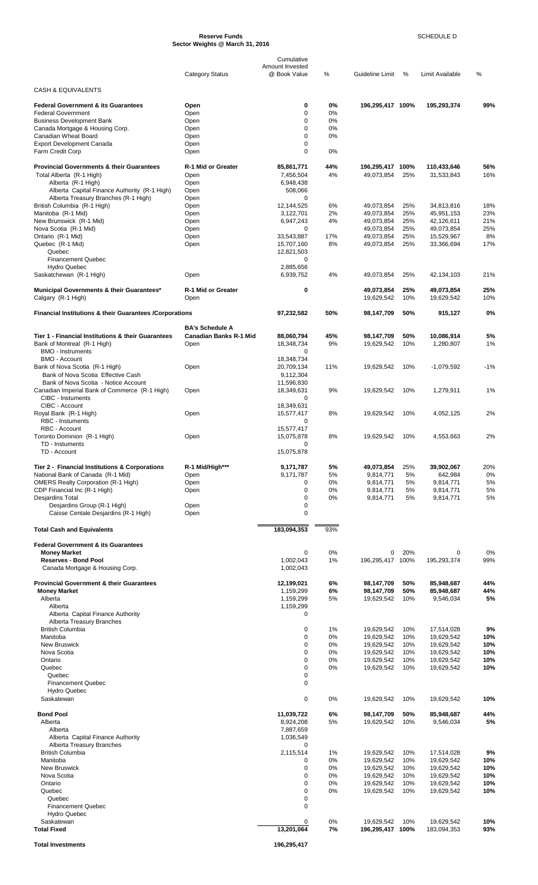#### **Reserve Funds** SCHEDULE D **Sector Weights @ March 31, 2016**

|                                                                            |                               | Cumulative                      |             |                                |            |                           |            |
|----------------------------------------------------------------------------|-------------------------------|---------------------------------|-------------|--------------------------------|------------|---------------------------|------------|
|                                                                            | <b>Category Status</b>        | Amount Invested<br>@ Book Value | %           | Guideline Limit                | $\%$       | Limit Available           | %          |
|                                                                            |                               |                                 |             |                                |            |                           |            |
| <b>CASH &amp; EQUIVALENTS</b>                                              |                               |                                 |             |                                |            |                           |            |
| <b>Federal Government &amp; its Guarantees</b>                             | Open                          | 0                               | 0%          | 196,295,417 100%               |            | 195,293,374               | 99%        |
| <b>Federal Government</b><br><b>Business Development Bank</b>              | Open<br>Open                  | 0<br>0                          | 0%<br>0%    |                                |            |                           |            |
| Canada Mortgage & Housing Corp.                                            | Open                          | 0                               | 0%          |                                |            |                           |            |
| Canadian Wheat Board                                                       | Open                          | $\Omega$                        | 0%          |                                |            |                           |            |
| <b>Export Development Canada</b>                                           | Open                          | 0<br>0                          | 0%          |                                |            |                           |            |
| Farm Credit Corp                                                           | Open                          |                                 |             |                                |            |                           |            |
| <b>Provincial Governments &amp; their Guarantees</b>                       | R-1 Mid or Greater            | 85,861,771                      | 44%         | 196,295,417 100%               |            | 110,433,646               | 56%        |
| Total Alberta (R-1 High)                                                   | Open                          | 7,456,504                       | 4%          | 49,073,854                     | 25%        | 31,533,843                | 16%        |
| Alberta (R-1 High)<br>Alberta Capital Finance Authority (R-1 High)         | Open<br>Open                  | 6,948,438<br>508,066            |             |                                |            |                           |            |
| Alberta Treasury Branches (R-1 High)                                       | Open                          | 0                               |             |                                |            |                           |            |
| British Columbia (R-1 High)                                                | Open                          | 12,144,525                      | 6%          | 49,073,854                     | 25%        | 34,813,816                | 18%        |
| Manitoba (R-1 Mid)<br>New Brunswick (R-1 Mid)                              | Open<br>Open                  | 3,122,701<br>6,947,243          | 2%<br>4%    | 49,073,854<br>49,073,854       | 25%<br>25% | 45,951,153<br>42,126,611  | 23%<br>21% |
| Nova Scotia (R-1 Mid)                                                      | Open                          | 0                               |             | 49,073,854                     | 25%        | 49,073,854                | 25%        |
| Ontario (R-1 Mid)                                                          | Open                          | 33,543,887                      | 17%         | 49,073,854                     | 25%        | 15,529,967                | 8%         |
| Quebec (R-1 Mid)                                                           | Open                          | 15,707,160                      | 8%          | 49,073,854                     | 25%        | 33,366,694                | 17%        |
| Quebec<br><b>Financement Quebec</b>                                        |                               | 12,821,503<br>0                 |             |                                |            |                           |            |
| <b>Hydro Quebec</b>                                                        |                               | 2,885,656                       |             |                                |            |                           |            |
| Saskatchewan (R-1 High)                                                    | Open                          | 6,939,752                       | 4%          | 49,073,854                     | 25%        | 42,134,103                | 21%        |
|                                                                            | <b>R-1 Mid or Greater</b>     | 0                               |             | 49,073,854                     | 25%        |                           | 25%        |
| Municipal Governments & their Guarantees*<br>Calgary (R-1 High)            | Open                          |                                 |             | 19,629,542                     | 10%        | 49,073,854<br>19,629,542  | 10%        |
|                                                                            |                               |                                 |             |                                |            |                           |            |
| Financial Institutions & their Guarantees / Corporations                   |                               | 97,232,582                      | 50%         | 98,147,709                     | 50%        | 915,127                   | 0%         |
|                                                                            | <b>BA's Schedule A</b>        |                                 |             |                                |            |                           |            |
| Tier 1 - Financial Institutions & their Guarantees                         | <b>Canadian Banks R-1 Mid</b> | 88,060,794                      | 45%         | 98,147,709                     | 50%        | 10,086,914                | 5%         |
| Bank of Montreal (R-1 High)                                                | Open                          | 18,348,734                      | 9%          | 19,629,542                     | 10%        | 1,280,807                 | 1%         |
| <b>BMO - Instruments</b><br><b>BMO - Account</b>                           |                               | 0<br>18,348,734                 |             |                                |            |                           |            |
| Bank of Nova Scotia (R-1 High)                                             | Open                          | 20,709,134                      | 11%         | 19,629,542                     | 10%        | $-1,079,592$              | $-1%$      |
| Bank of Nova Scotia Effective Cash                                         |                               | 9,112,304                       |             |                                |            |                           |            |
| Bank of Nova Scotia - Notice Account                                       |                               | 11,596,830                      |             |                                | 10%        |                           |            |
| Canadian Imperial Bank of Commerce (R-1 High)<br>CIBC - Instuments         | Open                          | 18,349,631<br>0                 | 9%          | 19,629,542                     |            | 1,279,911                 | 1%         |
| CIBC - Account                                                             |                               | 18,349,631                      |             |                                |            |                           |            |
| Royal Bank (R-1 High)                                                      | Open                          | 15,577,417                      | 8%          | 19,629,542                     | 10%        | 4,052,125                 | 2%         |
| <b>RBC</b> - Instuments<br>RBC - Account                                   |                               | 0<br>15,577,417                 |             |                                |            |                           |            |
| Toronto Dominion (R-1 High)                                                | Open                          | 15,075,878                      | 8%          | 19,629,542                     | 10%        | 4,553,663                 | 2%         |
| TD - Instuments                                                            |                               | 0                               |             |                                |            |                           |            |
| TD - Account                                                               |                               | 15,075,878                      |             |                                |            |                           |            |
| Tier 2 - Financial Institutions & Corporations                             | R-1 Mid/High***               | 9,171,787                       | 5%          | 49,073,854                     | 25%        | 39,902,067                | 20%        |
| National Bank of Canada (R-1 Mid)                                          | Open                          | 9,171,787                       | 5%          | 9,814,771                      | 5%         | 642,984                   | 0%         |
| <b>OMERS Realty Corporation (R-1 High)</b>                                 | Open                          | 0                               | 0%          | 9,814,771                      | 5%         | 9,814,771                 | 5%         |
| CDP Financial Inc (R-1 High)<br>Desjardins Total                           | Open                          | 0<br>0                          | $0\%$<br>0% | 9.814.771<br>9,814,771         | 5%<br>5%   | 9.814.771<br>9,814,771    | 5%<br>5%   |
| Desjardins Group (R-1 High)                                                | Open                          | 0                               |             |                                |            |                           |            |
| Caisse Centale Desjardins (R-1 High)                                       | Open                          | 0                               |             |                                |            |                           |            |
| <b>Total Cash and Equivalents</b>                                          |                               | 183,094,353                     | 93%         |                                |            |                           |            |
|                                                                            |                               |                                 |             |                                |            |                           |            |
| <b>Federal Government &amp; its Guarantees</b>                             |                               |                                 |             |                                |            |                           |            |
| <b>Money Market</b><br>Reserves - Bond Pool                                |                               | 0<br>1.002.043                  | 0%<br>1%    | 0<br>196,295,417 100%          | 20%        | 0<br>195,293,374          | 0%<br>99%  |
| Canada Mortgage & Housing Corp.                                            |                               | 1,002,043                       |             |                                |            |                           |            |
|                                                                            |                               |                                 |             |                                |            |                           |            |
| <b>Provincial Government &amp; their Guarantees</b><br><b>Money Market</b> |                               | 12,199,021<br>1,159,299         | 6%<br>6%    | 98,147,709<br>98,147,709       | 50%<br>50% | 85,948,687<br>85,948,687  | 44%<br>44% |
| Alberta                                                                    |                               | 1,159,299                       | 5%          | 19,629,542                     | 10%        | 9,546,034                 | 5%         |
| Alberta                                                                    |                               | 1,159,299                       |             |                                |            |                           |            |
| Alberta Capital Finance Authority                                          |                               | 0                               |             |                                |            |                           |            |
| Alberta Treasury Branches<br><b>British Columbia</b>                       |                               | 0                               | 1%          | 19,629,542                     | 10%        | 17,514,028                | 9%         |
| Manitoba                                                                   |                               | 0                               | 0%          | 19,629,542                     | 10%        | 19,629,542                | 10%        |
| <b>New Bruswick</b>                                                        |                               | 0                               | 0%          | 19,629,542                     | 10%        | 19,629,542                | 10%        |
| Nova Scotia<br>Ontario                                                     |                               | 0<br>0                          | 0%<br>0%    | 19,629,542<br>19,629,542       | 10%<br>10% | 19,629,542<br>19,629,542  | 10%<br>10% |
| Quebec                                                                     |                               | 0                               | 0%          | 19,629,542                     | 10%        | 19,629,542                | 10%        |
| Quebec                                                                     |                               | 0                               |             |                                |            |                           |            |
| <b>Financement Quebec</b>                                                  |                               | 0                               |             |                                |            |                           |            |
| <b>Hydro Quebec</b><br>Saskatewan                                          |                               | 0                               | 0%          | 19,629,542                     | 10%        | 19,629,542                | 10%        |
|                                                                            |                               |                                 |             |                                |            |                           |            |
| <b>Bond Pool</b><br>Alberta                                                |                               | 11,039,722                      | 6%<br>5%    | 98,147,709                     | 50%<br>10% | 85,948,687                | 44%<br>5%  |
| Alberta                                                                    |                               | 8,924,208<br>7,887,659          |             | 19,629,542                     |            | 9,546,034                 |            |
| Alberta Capital Finance Authority                                          |                               | 1,036,549                       |             |                                |            |                           |            |
| Alberta Treasury Branches                                                  |                               | 0                               |             |                                |            |                           |            |
| <b>British Columbia</b><br>Manitoba                                        |                               | 2,115,514<br>0                  | 1%<br>0%    | 19,629,542<br>19,629,542       | 10%<br>10% | 17,514,028<br>19.629.542  | 9%<br>10%  |
| <b>New Bruswick</b>                                                        |                               | 0                               | 0%          | 19,629,542                     | 10%        | 19,629,542                | 10%        |
| Nova Scotia                                                                |                               | 0                               | 0%          | 19,629,542                     | 10%        | 19,629,542                | 10%        |
| Ontario                                                                    |                               | 0<br>0                          | 0%<br>0%    | 19,629,542                     | 10%        | 19,629,542<br>19,629,542  | 10%<br>10% |
| Quebec<br>Quebec                                                           |                               | 0                               |             | 19,629,542                     | 10%        |                           |            |
| <b>Financement Quebec</b>                                                  |                               | 0                               |             |                                |            |                           |            |
| <b>Hydro Quebec</b>                                                        |                               |                                 |             |                                |            |                           |            |
| Saskatewan<br><b>Total Fixed</b>                                           |                               | 0<br>13,201,064                 | 0%<br>7%    | 19,629,542<br>196,295,417 100% | 10%        | 19,629,542<br>183,094,353 | 10%<br>93% |
|                                                                            |                               |                                 |             |                                |            |                           |            |
| Total Investments                                                          |                               | 196,295,417                     |             |                                |            |                           |            |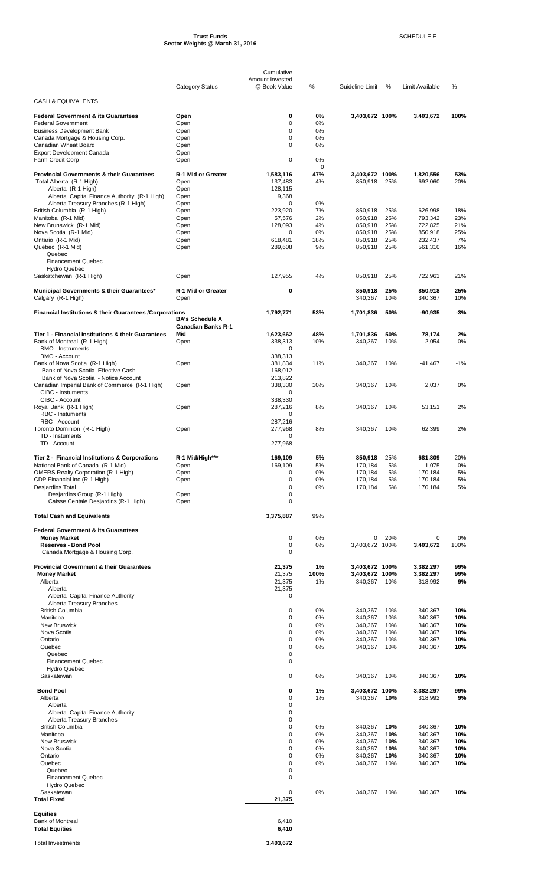#### **Trust Funds** SCHEDULE E **Sector Weights @ March 31, 2016**

|                                                                                     |                           | Cumulative                      |                   |                      |            |                    |            |
|-------------------------------------------------------------------------------------|---------------------------|---------------------------------|-------------------|----------------------|------------|--------------------|------------|
|                                                                                     | <b>Category Status</b>    | Amount Invested<br>@ Book Value | $\%$              | Guideline Limit      | %          | Limit Available    | %          |
| <b>CASH &amp; EQUIVALENTS</b>                                                       |                           |                                 |                   |                      |            |                    |            |
| <b>Federal Government &amp; its Guarantees</b>                                      | Open                      | 0                               | 0%                | 3,403,672 100%       |            | 3,403,672          | 100%       |
| <b>Federal Government</b>                                                           | Open                      | $\mathbf 0$                     | 0%                |                      |            |                    |            |
| <b>Business Development Bank</b><br>Canada Mortgage & Housing Corp.                 | Open<br>Open              | $\Omega$<br>$\mathbf 0$         | 0%<br>0%          |                      |            |                    |            |
| Canadian Wheat Board                                                                | Open                      | 0                               | 0%                |                      |            |                    |            |
| <b>Export Development Canada</b>                                                    | Open                      |                                 |                   |                      |            |                    |            |
| Farm Credit Corp                                                                    | Open                      | 0                               | 0%<br>$\mathbf 0$ |                      |            |                    |            |
| <b>Provincial Governments &amp; their Guarantees</b>                                | R-1 Mid or Greater        | 1,583,116                       | 47%               | 3,403,672 100%       |            | 1,820,556          | 53%        |
| Total Alberta (R-1 High)<br>Alberta (R-1 High)                                      | Open<br>Open              | 137,483<br>128,115              | 4%                | 850,918              | 25%        | 692,060            | 20%        |
| Alberta Capital Finance Authority (R-1 High)                                        | Open                      | 9,368                           |                   |                      |            |                    |            |
| Alberta Treasury Branches (R-1 High)                                                | Open                      | 0                               | 0%                |                      |            |                    |            |
| British Columbia (R-1 High)<br>Manitoba (R-1 Mid)                                   | Open<br>Open              | 223,920<br>57,576               | 7%<br>2%          | 850,918<br>850,918   | 25%<br>25% | 626,998<br>793,342 | 18%<br>23% |
| New Brunswick (R-1 Mid)                                                             | Open                      | 128,093                         | 4%                | 850,918              | 25%        | 722,825            | 21%        |
| Nova Scotia (R-1 Mid)<br>Ontario (R-1 Mid)                                          | Open<br>Open              | 0<br>618,481                    | 0%<br>18%         | 850,918<br>850,918   | 25%<br>25% | 850,918<br>232,437 | 25%<br>7%  |
| Quebec (R-1 Mid)                                                                    | Open                      | 289,608                         | 9%                | 850,918              | 25%        | 561,310            | 16%        |
| Quebec                                                                              |                           |                                 |                   |                      |            |                    |            |
| <b>Financement Quebec</b><br><b>Hydro Quebec</b>                                    |                           |                                 |                   |                      |            |                    |            |
| Saskatchewan (R-1 High)                                                             | Open                      | 127,955                         | 4%                | 850.918              | 25%        | 722.963            | 21%        |
| Municipal Governments & their Guarantees*                                           | R-1 Mid or Greater        | 0                               |                   | 850,918              | 25%        | 850,918            | 25%        |
| Calgary (R-1 High)                                                                  | Open                      |                                 |                   | 340,367              | 10%        | 340,367            | 10%        |
| <b>Financial Institutions &amp; their Guarantees /Corporations</b>                  |                           | 1,792,771                       | 53%               | 1,701,836            | 50%        | $-90,935$          | $-3%$      |
|                                                                                     | <b>BA's Schedule A</b>    |                                 |                   |                      |            |                    |            |
|                                                                                     | <b>Canadian Banks R-1</b> |                                 |                   |                      |            |                    |            |
| Tier 1 - Financial Institutions & their Guarantees<br>Bank of Montreal (R-1 High)   | Mid<br>Open               | 1,623,662<br>338,313            | 48%<br>10%        | 1,701,836<br>340,367 | 50%<br>10% | 78,174<br>2,054    | 2%<br>0%   |
| <b>BMO - Instruments</b>                                                            |                           | 0                               |                   |                      |            |                    |            |
| <b>BMO - Account</b><br>Bank of Nova Scotia (R-1 High)                              | Open                      | 338,313<br>381,834              | 11%               | 340,367              | 10%        | $-41,467$          | -1%        |
| Bank of Nova Scotia Effective Cash                                                  |                           | 168,012                         |                   |                      |            |                    |            |
| Bank of Nova Scotia - Notice Account                                                |                           | 213,822                         |                   |                      |            |                    |            |
| Canadian Imperial Bank of Commerce (R-1 High)<br>CIBC - Instuments                  | Open                      | 338,330<br>0                    | 10%               | 340,367              | 10%        | 2,037              | 0%         |
| CIBC - Account                                                                      |                           | 338,330                         |                   |                      |            |                    |            |
| Royal Bank (R-1 High)<br><b>RBC</b> - Instuments                                    | Open                      | 287,216<br>$\mathbf 0$          | 8%                | 340,367              | 10%        | 53,151             | 2%         |
| RBC - Account                                                                       |                           | 287,216                         |                   |                      |            |                    |            |
| Toronto Dominion (R-1 High)                                                         | Open                      | 277,968                         | 8%                | 340.367              | 10%        | 62,399             | 2%         |
| TD - Instuments<br>TD - Account                                                     |                           | 0<br>277,968                    |                   |                      |            |                    |            |
|                                                                                     |                           |                                 |                   |                      |            |                    |            |
| Tier 2 - Financial Institutions & Corporations<br>National Bank of Canada (R-1 Mid) | R-1 Mid/High***<br>Open   | 169,109<br>169,109              | 5%<br>5%          | 850,918<br>170,184   | 25%<br>5%  | 681,809<br>1,075   | 20%<br>0%  |
| <b>OMERS Realty Corporation (R-1 High)</b>                                          | Open                      | 0                               | 0%                | 170,184              | 5%         | 170,184            | 5%         |
| CDP Financial Inc (R-1 High)                                                        | Open                      | 0                               | 0%                | 170,184              | 5%         | 170,184            | 5%         |
| Desjardins Total<br>Desjardins Group (R-1 High)                                     | Open                      | 0<br>0                          | 0%                | 170,184              | 5%         | 170,184            | 5%         |
| Caisse Centale Desjardins (R-1 High)                                                | Open                      | 0                               |                   |                      |            |                    |            |
| <b>Total Cash and Equivalents</b>                                                   |                           | 3,375,887                       | 99%               |                      |            |                    |            |
|                                                                                     |                           |                                 |                   |                      |            |                    |            |
| <b>Federal Government &amp; its Guarantees</b><br><b>Money Market</b>               |                           | 0                               | 0%                | 0                    | 20%        | 0                  | 0%         |
| <b>Reserves - Bond Pool</b>                                                         |                           | 0                               | 0%                | 3,403,672 100%       |            | 3,403,672          | 100%       |
| Canada Mortgage & Housing Corp.                                                     |                           | 0                               |                   |                      |            |                    |            |
| <b>Provincial Government &amp; their Guarantees</b>                                 |                           | 21,375                          | 1%                | 3,403,672 100%       |            | 3,382,297          | 99%        |
| <b>Money Market</b>                                                                 |                           | 21,375                          | 100%              | 3,403,672 100%       |            | 3,382,297          | 99%        |
| Alberta<br>Alberta                                                                  |                           | 21,375<br>21,375                | 1%                | 340,367              | 10%        | 318,992            | 9%         |
| Alberta Capital Finance Authority                                                   |                           | 0                               |                   |                      |            |                    |            |
| Alberta Treasury Branches<br><b>British Columbia</b>                                |                           | 0                               | 0%                | 340,367              | 10%        | 340,367            | 10%        |
| Manitoba                                                                            |                           | 0                               | 0%                | 340,367              | 10%        | 340,367            | 10%        |
| <b>New Bruswick</b>                                                                 |                           | 0<br>0                          | 0%<br>0%          | 340,367              | 10%        | 340,367            | 10%        |
| Nova Scotia<br>Ontario                                                              |                           | 0                               | 0%                | 340,367<br>340,367   | 10%<br>10% | 340,367<br>340,367 | 10%<br>10% |
| Quebec                                                                              |                           | 0                               | 0%                | 340,367              | 10%        | 340,367            | 10%        |
| Quebec<br><b>Financement Quebec</b>                                                 |                           | 0<br>0                          |                   |                      |            |                    |            |
| <b>Hydro Quebec</b>                                                                 |                           |                                 |                   |                      |            |                    |            |
| Saskatewan                                                                          |                           | 0                               | 0%                | 340,367              | 10%        | 340,367            | 10%        |
| <b>Bond Pool</b>                                                                    |                           | 0                               | 1%                | 3,403,672 100%       |            | 3,382,297          | 99%        |
| Alberta                                                                             |                           | 0                               | 1%                | 340,367              | 10%        | 318,992            | 9%         |
| Alberta<br>Alberta Capital Finance Authority                                        |                           | 0<br>0                          |                   |                      |            |                    |            |
| Alberta Treasury Branches                                                           |                           | 0                               |                   |                      |            |                    |            |
| <b>British Columbia</b><br>Manitoba                                                 |                           | 0<br>0                          | 0%<br>0%          | 340,367<br>340,367   | 10%<br>10% | 340,367<br>340,367 | 10%<br>10% |
| New Bruswick                                                                        |                           | 0                               | 0%                | 340,367              | 10%        | 340,367            | 10%        |
| Nova Scotia                                                                         |                           | 0                               | 0%                | 340,367              | 10%        | 340,367            | 10%        |
| Ontario<br>Quebec                                                                   |                           | 0<br>0                          | 0%<br>0%          | 340,367<br>340,367   | 10%<br>10% | 340,367<br>340,367 | 10%<br>10% |
| Quebec                                                                              |                           | 0                               |                   |                      |            |                    |            |
| <b>Financement Quebec</b><br><b>Hydro Quebec</b>                                    |                           | 0                               |                   |                      |            |                    |            |
| Saskatewan                                                                          |                           | 0                               | 0%                | 340,367              | 10%        | 340,367            | 10%        |
| <b>Total Fixed</b>                                                                  |                           | 21,375                          |                   |                      |            |                    |            |
| <b>Equities</b>                                                                     |                           |                                 |                   |                      |            |                    |            |
| <b>Bank of Montreal</b>                                                             |                           | 6,410                           |                   |                      |            |                    |            |
| <b>Total Equities</b>                                                               |                           | 6,410                           |                   |                      |            |                    |            |

Total Investments **3,403,672** 

÷,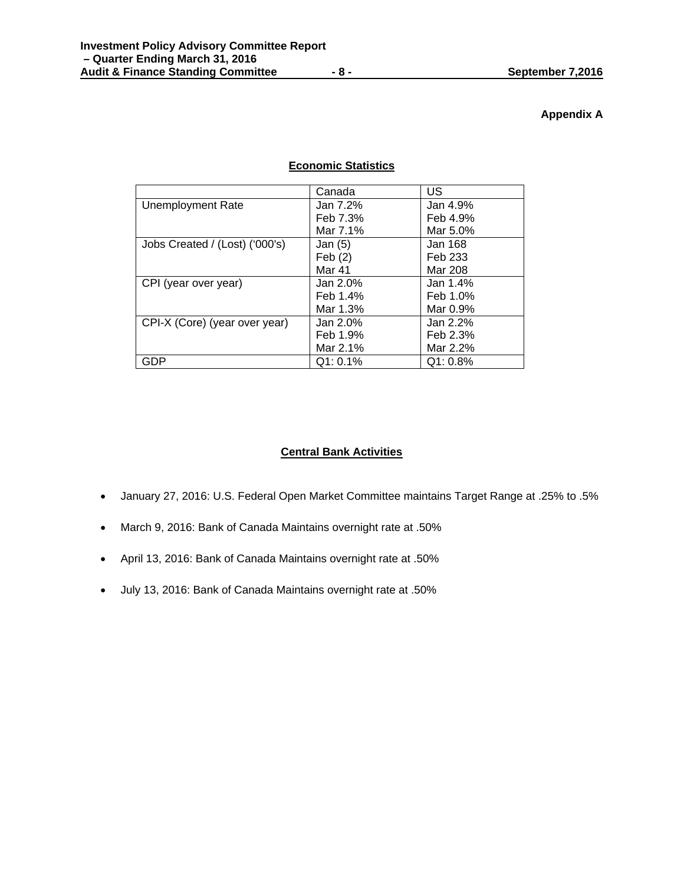## **Appendix A**

## **Economic Statistics**

|                                | Canada      | US       |
|--------------------------------|-------------|----------|
| <b>Unemployment Rate</b>       | Jan 7.2%    | Jan 4.9% |
|                                | Feb 7.3%    | Feb 4.9% |
|                                | Mar 7.1%    | Mar 5.0% |
| Jobs Created / (Lost) ('000's) | Jan $(5)$   | Jan 168  |
|                                | Feb(2)      | Feb 233  |
|                                | Mar 41      | Mar 208  |
| CPI (year over year)           | Jan 2.0%    | Jan 1.4% |
|                                | Feb 1.4%    | Feb 1.0% |
|                                | Mar 1.3%    | Mar 0.9% |
| CPI-X (Core) (year over year)  | Jan $2.0\%$ | Jan 2.2% |
|                                | Feb 1.9%    | Feb 2.3% |
|                                | Mar 2.1%    | Mar 2.2% |
| GDP                            | $Q1: 0.1\%$ | Q1: 0.8% |

## **Central Bank Activities**

- January 27, 2016: U.S. Federal Open Market Committee maintains Target Range at .25% to .5%
- March 9, 2016: Bank of Canada Maintains overnight rate at .50%
- April 13, 2016: Bank of Canada Maintains overnight rate at .50%
- July 13, 2016: Bank of Canada Maintains overnight rate at .50%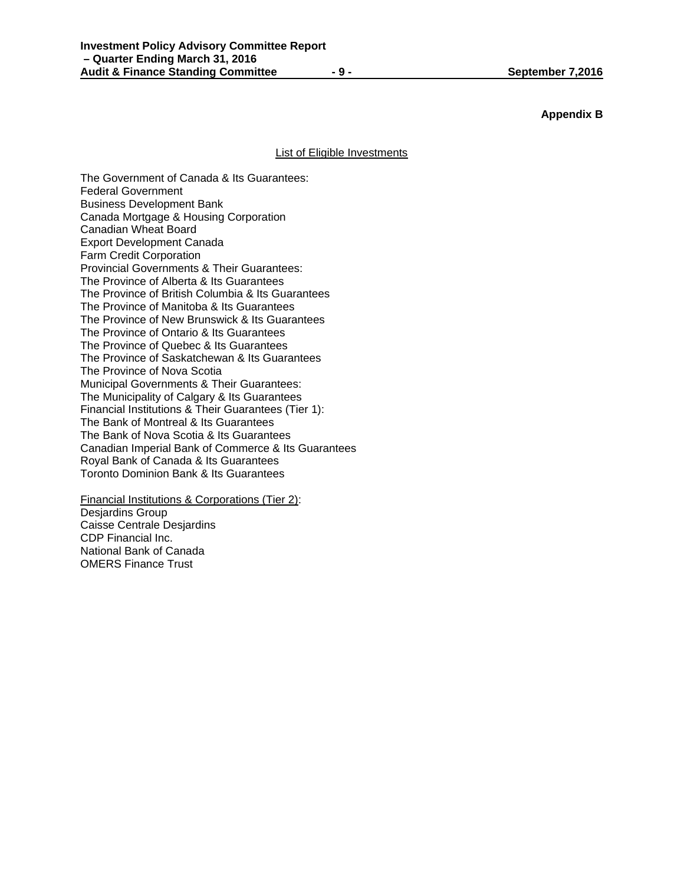## **Appendix B**

### List of Eligible Investments

The Government of Canada & Its Guarantees: Federal Government Business Development Bank Canada Mortgage & Housing Corporation Canadian Wheat Board Export Development Canada Farm Credit Corporation Provincial Governments & Their Guarantees: The Province of Alberta & Its Guarantees The Province of British Columbia & Its Guarantees The Province of Manitoba & Its Guarantees The Province of New Brunswick & Its Guarantees The Province of Ontario & Its Guarantees The Province of Quebec & Its Guarantees The Province of Saskatchewan & Its Guarantees The Province of Nova Scotia Municipal Governments & Their Guarantees: The Municipality of Calgary & Its Guarantees Financial Institutions & Their Guarantees (Tier 1): The Bank of Montreal & Its Guarantees The Bank of Nova Scotia & Its Guarantees Canadian Imperial Bank of Commerce & Its Guarantees Royal Bank of Canada & Its Guarantees Toronto Dominion Bank & Its Guarantees

Financial Institutions & Corporations (Tier 2): Desjardins Group Caisse Centrale Desjardins CDP Financial Inc. National Bank of Canada OMERS Finance Trust